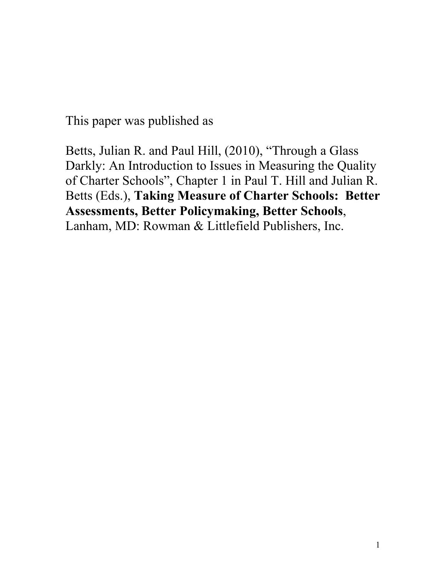This paper was published as

Betts, Julian R. and Paul Hill, (2010), "Through a Glass Darkly: An Introduction to Issues in Measuring the Quality of Charter Schools", Chapter 1 in Paul T. Hill and Julian R. Betts (Eds.), **Taking Measure of Charter Schools: Better Assessments, Better Policymaking, Better Schools**, Lanham, MD: Rowman & Littlefield Publishers, Inc.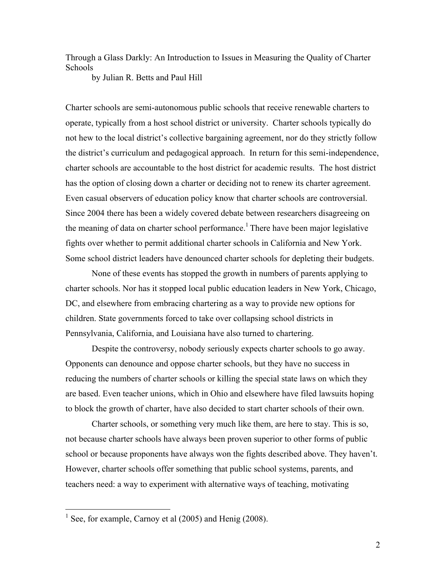Through a Glass Darkly: An Introduction to Issues in Measuring the Quality of Charter Schools

by Julian R. Betts and Paul Hill

Charter schools are semi-autonomous public schools that receive renewable charters to operate, typically from a host school district or university. Charter schools typically do not hew to the local district's collective bargaining agreement, nor do they strictly follow the district's curriculum and pedagogical approach. In return for this semi-independence, charter schools are accountable to the host district for academic results. The host district has the option of closing down a charter or deciding not to renew its charter agreement. Even casual observers of education policy know that charter schools are controversial. Since 2004 there has been a widely covered debate between researchers disagreeing on the meaning of data on charter school performance.<sup>1</sup> There have been major legislative fights over whether to permit additional charter schools in California and New York. Some school district leaders have denounced charter schools for depleting their budgets.

None of these events has stopped the growth in numbers of parents applying to charter schools. Nor has it stopped local public education leaders in New York, Chicago, DC, and elsewhere from embracing chartering as a way to provide new options for children. State governments forced to take over collapsing school districts in Pennsylvania, California, and Louisiana have also turned to chartering.

Despite the controversy, nobody seriously expects charter schools to go away. Opponents can denounce and oppose charter schools, but they have no success in reducing the numbers of charter schools or killing the special state laws on which they are based. Even teacher unions, which in Ohio and elsewhere have filed lawsuits hoping to block the growth of charter, have also decided to start charter schools of their own.

Charter schools, or something very much like them, are here to stay. This is so, not because charter schools have always been proven superior to other forms of public school or because proponents have always won the fights described above. They haven't. However, charter schools offer something that public school systems, parents, and teachers need: a way to experiment with alternative ways of teaching, motivating

<sup>&</sup>lt;sup>1</sup> See, for example, Carnoy et al  $(2005)$  and Henig  $(2008)$ .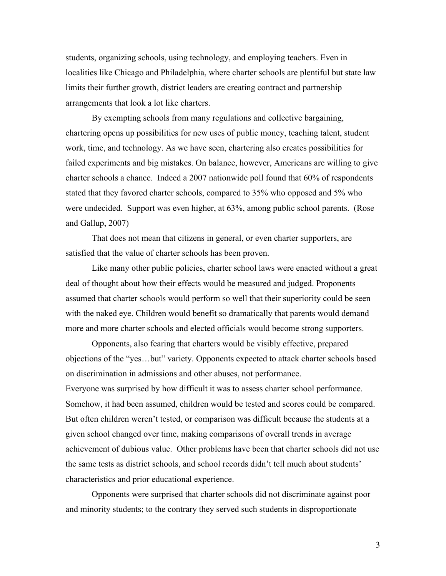students, organizing schools, using technology, and employing teachers. Even in localities like Chicago and Philadelphia, where charter schools are plentiful but state law limits their further growth, district leaders are creating contract and partnership arrangements that look a lot like charters.

By exempting schools from many regulations and collective bargaining, chartering opens up possibilities for new uses of public money, teaching talent, student work, time, and technology. As we have seen, chartering also creates possibilities for failed experiments and big mistakes. On balance, however, Americans are willing to give charter schools a chance. Indeed a 2007 nationwide poll found that 60% of respondents stated that they favored charter schools, compared to 35% who opposed and 5% who were undecided. Support was even higher, at 63%, among public school parents. (Rose and Gallup, 2007)

That does not mean that citizens in general, or even charter supporters, are satisfied that the value of charter schools has been proven.

Like many other public policies, charter school laws were enacted without a great deal of thought about how their effects would be measured and judged. Proponents assumed that charter schools would perform so well that their superiority could be seen with the naked eye. Children would benefit so dramatically that parents would demand more and more charter schools and elected officials would become strong supporters.

Opponents, also fearing that charters would be visibly effective, prepared objections of the "yes…but" variety. Opponents expected to attack charter schools based on discrimination in admissions and other abuses, not performance. Everyone was surprised by how difficult it was to assess charter school performance. Somehow, it had been assumed, children would be tested and scores could be compared. But often children weren't tested, or comparison was difficult because the students at a given school changed over time, making comparisons of overall trends in average achievement of dubious value. Other problems have been that charter schools did not use the same tests as district schools, and school records didn't tell much about students' characteristics and prior educational experience.

Opponents were surprised that charter schools did not discriminate against poor and minority students; to the contrary they served such students in disproportionate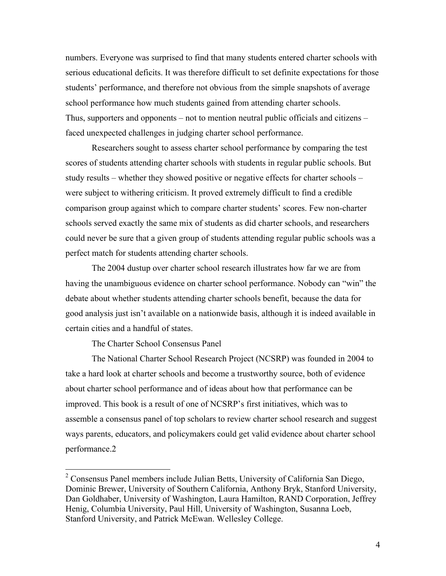numbers. Everyone was surprised to find that many students entered charter schools with serious educational deficits. It was therefore difficult to set definite expectations for those students' performance, and therefore not obvious from the simple snapshots of average school performance how much students gained from attending charter schools. Thus, supporters and opponents – not to mention neutral public officials and citizens – faced unexpected challenges in judging charter school performance.

Researchers sought to assess charter school performance by comparing the test scores of students attending charter schools with students in regular public schools. But study results – whether they showed positive or negative effects for charter schools – were subject to withering criticism. It proved extremely difficult to find a credible comparison group against which to compare charter students' scores. Few non-charter schools served exactly the same mix of students as did charter schools, and researchers could never be sure that a given group of students attending regular public schools was a perfect match for students attending charter schools.

The 2004 dustup over charter school research illustrates how far we are from having the unambiguous evidence on charter school performance. Nobody can "win" the debate about whether students attending charter schools benefit, because the data for good analysis just isn't available on a nationwide basis, although it is indeed available in certain cities and a handful of states.

The Charter School Consensus Panel

The National Charter School Research Project (NCSRP) was founded in 2004 to take a hard look at charter schools and become a trustworthy source, both of evidence about charter school performance and of ideas about how that performance can be improved. This book is a result of one of NCSRP's first initiatives, which was to assemble a consensus panel of top scholars to review charter school research and suggest ways parents, educators, and policymakers could get valid evidence about charter school performance.2

 <sup>2</sup> Consensus Panel members include Julian Betts, University of California San Diego, Dominic Brewer, University of Southern California, Anthony Bryk, Stanford University, Dan Goldhaber, University of Washington, Laura Hamilton, RAND Corporation, Jeffrey Henig, Columbia University, Paul Hill, University of Washington, Susanna Loeb, Stanford University, and Patrick McEwan. Wellesley College.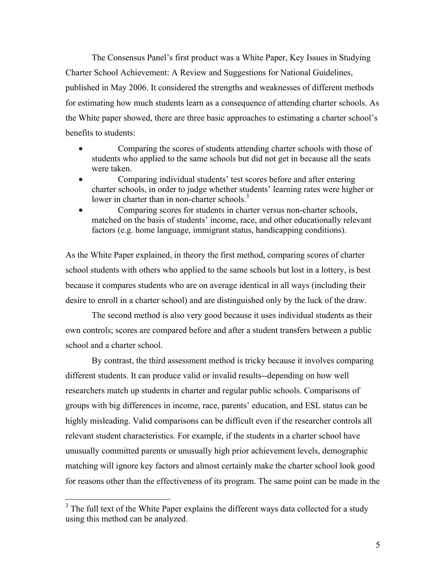The Consensus Panel's first product was a White Paper, Key Issues in Studying Charter School Achievement: A Review and Suggestions for National Guidelines, published in May 2006. It considered the strengths and weaknesses of different methods for estimating how much students learn as a consequence of attending charter schools. As the White paper showed, there are three basic approaches to estimating a charter school's benefits to students:

- Comparing the scores of students attending charter schools with those of students who applied to the same schools but did not get in because all the seats were taken.
- Comparing individual students' test scores before and after entering charter schools, in order to judge whether students' learning rates were higher or lower in charter than in non-charter schools.<sup>3</sup>
- Comparing scores for students in charter versus non-charter schools, matched on the basis of students' income, race, and other educationally relevant factors (e.g. home language, immigrant status, handicapping conditions).

As the White Paper explained, in theory the first method, comparing scores of charter school students with others who applied to the same schools but lost in a lottery, is best because it compares students who are on average identical in all ways (including their desire to enroll in a charter school) and are distinguished only by the luck of the draw.

The second method is also very good because it uses individual students as their own controls; scores are compared before and after a student transfers between a public school and a charter school.

By contrast, the third assessment method is tricky because it involves comparing different students. It can produce valid or invalid results--depending on how well researchers match up students in charter and regular public schools. Comparisons of groups with big differences in income, race, parents' education, and ESL status can be highly misleading. Valid comparisons can be difficult even if the researcher controls all relevant student characteristics. For example, if the students in a charter school have unusually committed parents or unusually high prior achievement levels, demographic matching will ignore key factors and almost certainly make the charter school look good for reasons other than the effectiveness of its program. The same point can be made in the

 $3$  The full text of the White Paper explains the different ways data collected for a study using this method can be analyzed.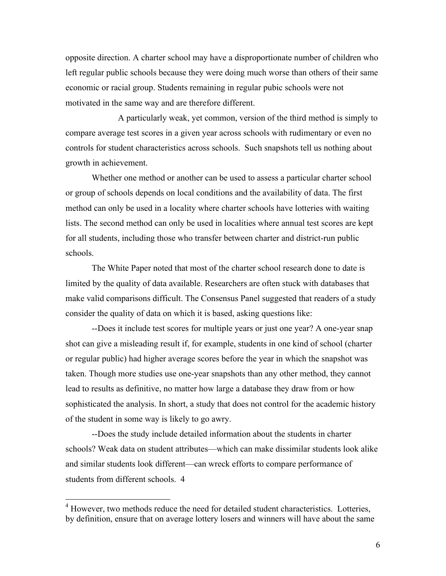opposite direction. A charter school may have a disproportionate number of children who left regular public schools because they were doing much worse than others of their same economic or racial group. Students remaining in regular pubic schools were not motivated in the same way and are therefore different.

A particularly weak, yet common, version of the third method is simply to compare average test scores in a given year across schools with rudimentary or even no controls for student characteristics across schools. Such snapshots tell us nothing about growth in achievement.

Whether one method or another can be used to assess a particular charter school or group of schools depends on local conditions and the availability of data. The first method can only be used in a locality where charter schools have lotteries with waiting lists. The second method can only be used in localities where annual test scores are kept for all students, including those who transfer between charter and district-run public schools.

The White Paper noted that most of the charter school research done to date is limited by the quality of data available. Researchers are often stuck with databases that make valid comparisons difficult. The Consensus Panel suggested that readers of a study consider the quality of data on which it is based, asking questions like:

--Does it include test scores for multiple years or just one year? A one-year snap shot can give a misleading result if, for example, students in one kind of school (charter or regular public) had higher average scores before the year in which the snapshot was taken. Though more studies use one-year snapshots than any other method, they cannot lead to results as definitive, no matter how large a database they draw from or how sophisticated the analysis. In short, a study that does not control for the academic history of the student in some way is likely to go awry.

--Does the study include detailed information about the students in charter schools? Weak data on student attributes—which can make dissimilar students look alike and similar students look different—can wreck efforts to compare performance of students from different schools. 4

<sup>&</sup>lt;sup>4</sup> However, two methods reduce the need for detailed student characteristics. Lotteries, by definition, ensure that on average lottery losers and winners will have about the same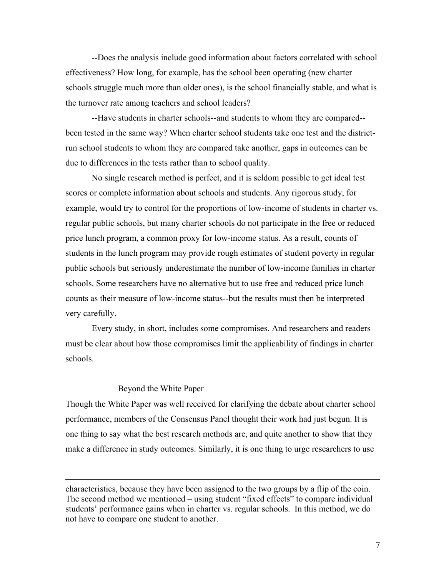--Does the analysis include good information about factors correlated with school effectiveness? How long, for example, has the school been operating (new charter schools struggle much more than older ones), is the school financially stable, and what is the turnover rate among teachers and school leaders?

--Have students in charter schools--and students to whom they are compared- been tested in the same way? When charter school students take one test and the districtrun school students to whom they are compared take another, gaps in outcomes can be due to differences in the tests rather than to school quality.

No single research method is perfect, and it is seldom possible to get ideal test scores or complete information about schools and students. Any rigorous study, for example, would try to control for the proportions of low-income of students in charter vs. regular public schools, but many charter schools do not participate in the free or reduced price lunch program, a common proxy for low-income status. As a result, counts of students in the lunch program may provide rough estimates of student poverty in regular public schools but seriously underestimate the number of low-income families in charter schools. Some researchers have no alternative but to use free and reduced price lunch counts as their measure of low-income status--but the results must then be interpreted very carefully.

Every study, in short, includes some compromises. And researchers and readers must be clear about how those compromises limit the applicability of findings in charter schools.

## Beyond the White Paper

 $\overline{a}$ 

Though the White Paper was well received for clarifying the debate about charter school performance, members of the Consensus Panel thought their work had just begun. It is one thing to say what the best research methods are, and quite another to show that they make a difference in study outcomes. Similarly, it is one thing to urge researchers to use

characteristics, because they have been assigned to the two groups by a flip of the coin. The second method we mentioned – using student "fixed effects" to compare individual students' performance gains when in charter vs. regular schools. In this method, we do not have to compare one student to another.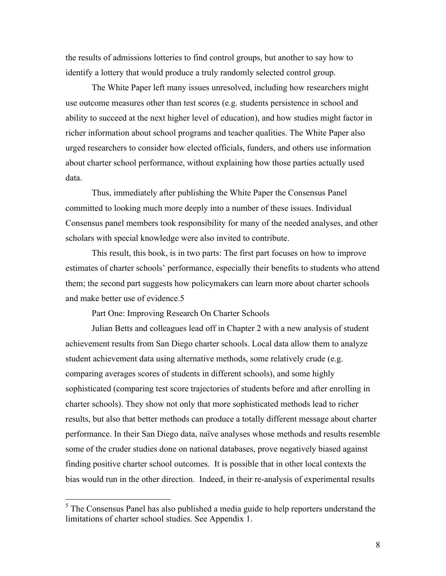the results of admissions lotteries to find control groups, but another to say how to identify a lottery that would produce a truly randomly selected control group.

The White Paper left many issues unresolved, including how researchers might use outcome measures other than test scores (e.g. students persistence in school and ability to succeed at the next higher level of education), and how studies might factor in richer information about school programs and teacher qualities. The White Paper also urged researchers to consider how elected officials, funders, and others use information about charter school performance, without explaining how those parties actually used data.

Thus, immediately after publishing the White Paper the Consensus Panel committed to looking much more deeply into a number of these issues. Individual Consensus panel members took responsibility for many of the needed analyses, and other scholars with special knowledge were also invited to contribute.

This result, this book, is in two parts: The first part focuses on how to improve estimates of charter schools' performance, especially their benefits to students who attend them; the second part suggests how policymakers can learn more about charter schools and make better use of evidence.5

Part One: Improving Research On Charter Schools

Julian Betts and colleagues lead off in Chapter 2 with a new analysis of student achievement results from San Diego charter schools. Local data allow them to analyze student achievement data using alternative methods, some relatively crude (e.g. comparing averages scores of students in different schools), and some highly sophisticated (comparing test score trajectories of students before and after enrolling in charter schools). They show not only that more sophisticated methods lead to richer results, but also that better methods can produce a totally different message about charter performance. In their San Diego data, naïve analyses whose methods and results resemble some of the cruder studies done on national databases, prove negatively biased against finding positive charter school outcomes. It is possible that in other local contexts the bias would run in the other direction. Indeed, in their re-analysis of experimental results

<sup>&</sup>lt;sup>5</sup> The Consensus Panel has also published a media guide to help reporters understand the limitations of charter school studies. See Appendix 1.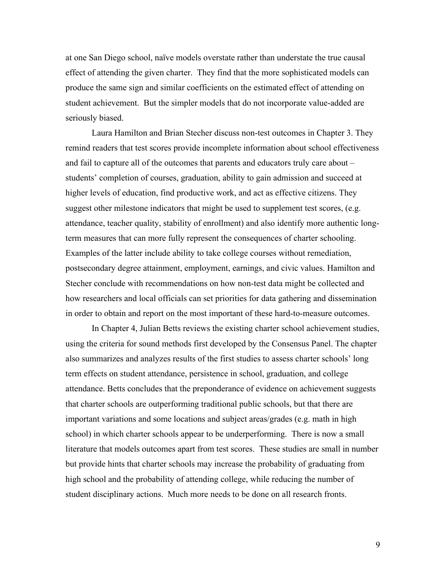at one San Diego school, naïve models overstate rather than understate the true causal effect of attending the given charter. They find that the more sophisticated models can produce the same sign and similar coefficients on the estimated effect of attending on student achievement. But the simpler models that do not incorporate value-added are seriously biased.

Laura Hamilton and Brian Stecher discuss non-test outcomes in Chapter 3. They remind readers that test scores provide incomplete information about school effectiveness and fail to capture all of the outcomes that parents and educators truly care about – students' completion of courses, graduation, ability to gain admission and succeed at higher levels of education, find productive work, and act as effective citizens. They suggest other milestone indicators that might be used to supplement test scores, (e.g. attendance, teacher quality, stability of enrollment) and also identify more authentic longterm measures that can more fully represent the consequences of charter schooling. Examples of the latter include ability to take college courses without remediation, postsecondary degree attainment, employment, earnings, and civic values. Hamilton and Stecher conclude with recommendations on how non-test data might be collected and how researchers and local officials can set priorities for data gathering and dissemination in order to obtain and report on the most important of these hard-to-measure outcomes.

In Chapter 4, Julian Betts reviews the existing charter school achievement studies, using the criteria for sound methods first developed by the Consensus Panel. The chapter also summarizes and analyzes results of the first studies to assess charter schools' long term effects on student attendance, persistence in school, graduation, and college attendance. Betts concludes that the preponderance of evidence on achievement suggests that charter schools are outperforming traditional public schools, but that there are important variations and some locations and subject areas/grades (e.g. math in high school) in which charter schools appear to be underperforming. There is now a small literature that models outcomes apart from test scores. These studies are small in number but provide hints that charter schools may increase the probability of graduating from high school and the probability of attending college, while reducing the number of student disciplinary actions. Much more needs to be done on all research fronts.

9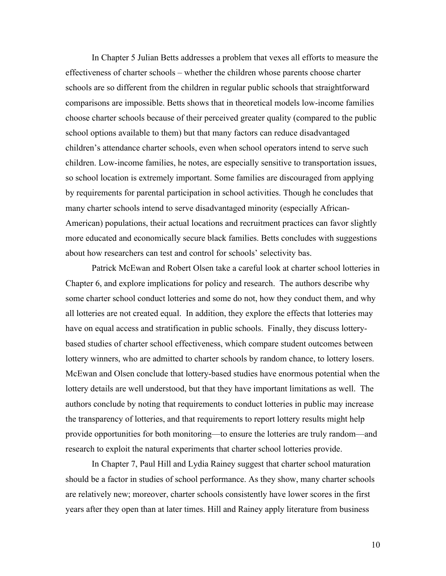In Chapter 5 Julian Betts addresses a problem that vexes all efforts to measure the effectiveness of charter schools – whether the children whose parents choose charter schools are so different from the children in regular public schools that straightforward comparisons are impossible. Betts shows that in theoretical models low-income families choose charter schools because of their perceived greater quality (compared to the public school options available to them) but that many factors can reduce disadvantaged children's attendance charter schools, even when school operators intend to serve such children. Low-income families, he notes, are especially sensitive to transportation issues, so school location is extremely important. Some families are discouraged from applying by requirements for parental participation in school activities. Though he concludes that many charter schools intend to serve disadvantaged minority (especially African-American) populations, their actual locations and recruitment practices can favor slightly more educated and economically secure black families. Betts concludes with suggestions about how researchers can test and control for schools' selectivity bas.

Patrick McEwan and Robert Olsen take a careful look at charter school lotteries in Chapter 6, and explore implications for policy and research. The authors describe why some charter school conduct lotteries and some do not, how they conduct them, and why all lotteries are not created equal. In addition, they explore the effects that lotteries may have on equal access and stratification in public schools. Finally, they discuss lotterybased studies of charter school effectiveness, which compare student outcomes between lottery winners, who are admitted to charter schools by random chance, to lottery losers. McEwan and Olsen conclude that lottery-based studies have enormous potential when the lottery details are well understood, but that they have important limitations as well. The authors conclude by noting that requirements to conduct lotteries in public may increase the transparency of lotteries, and that requirements to report lottery results might help provide opportunities for both monitoring—to ensure the lotteries are truly random—and research to exploit the natural experiments that charter school lotteries provide.

In Chapter 7, Paul Hill and Lydia Rainey suggest that charter school maturation should be a factor in studies of school performance. As they show, many charter schools are relatively new; moreover, charter schools consistently have lower scores in the first years after they open than at later times. Hill and Rainey apply literature from business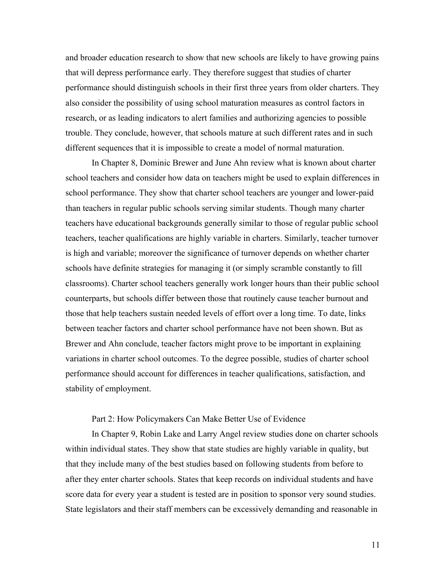and broader education research to show that new schools are likely to have growing pains that will depress performance early. They therefore suggest that studies of charter performance should distinguish schools in their first three years from older charters. They also consider the possibility of using school maturation measures as control factors in research, or as leading indicators to alert families and authorizing agencies to possible trouble. They conclude, however, that schools mature at such different rates and in such different sequences that it is impossible to create a model of normal maturation.

In Chapter 8, Dominic Brewer and June Ahn review what is known about charter school teachers and consider how data on teachers might be used to explain differences in school performance. They show that charter school teachers are younger and lower-paid than teachers in regular public schools serving similar students. Though many charter teachers have educational backgrounds generally similar to those of regular public school teachers, teacher qualifications are highly variable in charters. Similarly, teacher turnover is high and variable; moreover the significance of turnover depends on whether charter schools have definite strategies for managing it (or simply scramble constantly to fill classrooms). Charter school teachers generally work longer hours than their public school counterparts, but schools differ between those that routinely cause teacher burnout and those that help teachers sustain needed levels of effort over a long time. To date, links between teacher factors and charter school performance have not been shown. But as Brewer and Ahn conclude, teacher factors might prove to be important in explaining variations in charter school outcomes. To the degree possible, studies of charter school performance should account for differences in teacher qualifications, satisfaction, and stability of employment.

## Part 2: How Policymakers Can Make Better Use of Evidence

In Chapter 9, Robin Lake and Larry Angel review studies done on charter schools within individual states. They show that state studies are highly variable in quality, but that they include many of the best studies based on following students from before to after they enter charter schools. States that keep records on individual students and have score data for every year a student is tested are in position to sponsor very sound studies. State legislators and their staff members can be excessively demanding and reasonable in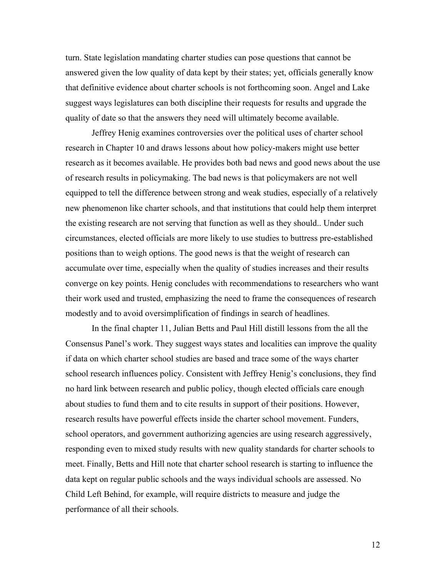turn. State legislation mandating charter studies can pose questions that cannot be answered given the low quality of data kept by their states; yet, officials generally know that definitive evidence about charter schools is not forthcoming soon. Angel and Lake suggest ways legislatures can both discipline their requests for results and upgrade the quality of date so that the answers they need will ultimately become available.

Jeffrey Henig examines controversies over the political uses of charter school research in Chapter 10 and draws lessons about how policy-makers might use better research as it becomes available. He provides both bad news and good news about the use of research results in policymaking. The bad news is that policymakers are not well equipped to tell the difference between strong and weak studies, especially of a relatively new phenomenon like charter schools, and that institutions that could help them interpret the existing research are not serving that function as well as they should.. Under such circumstances, elected officials are more likely to use studies to buttress pre-established positions than to weigh options. The good news is that the weight of research can accumulate over time, especially when the quality of studies increases and their results converge on key points. Henig concludes with recommendations to researchers who want their work used and trusted, emphasizing the need to frame the consequences of research modestly and to avoid oversimplification of findings in search of headlines.

In the final chapter 11, Julian Betts and Paul Hill distill lessons from the all the Consensus Panel's work. They suggest ways states and localities can improve the quality if data on which charter school studies are based and trace some of the ways charter school research influences policy. Consistent with Jeffrey Henig's conclusions, they find no hard link between research and public policy, though elected officials care enough about studies to fund them and to cite results in support of their positions. However, research results have powerful effects inside the charter school movement. Funders, school operators, and government authorizing agencies are using research aggressively, responding even to mixed study results with new quality standards for charter schools to meet. Finally, Betts and Hill note that charter school research is starting to influence the data kept on regular public schools and the ways individual schools are assessed. No Child Left Behind, for example, will require districts to measure and judge the performance of all their schools.

12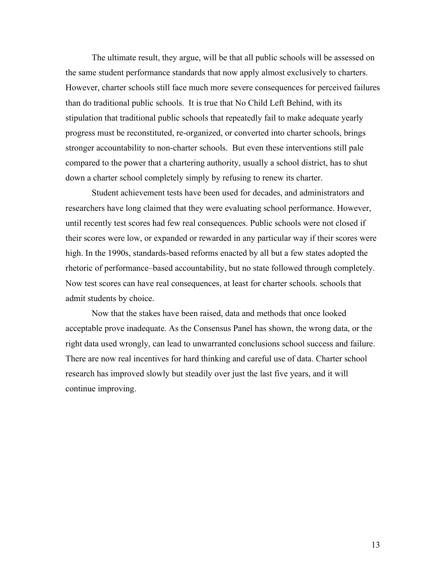The ultimate result, they argue, will be that all public schools will be assessed on the same student performance standards that now apply almost exclusively to charters. However, charter schools still face much more severe consequences for perceived failures than do traditional public schools. It is true that No Child Left Behind, with its stipulation that traditional public schools that repeatedly fail to make adequate yearly progress must be reconstituted, re-organized, or converted into charter schools, brings stronger accountability to non-charter schools. But even these interventions still pale compared to the power that a chartering authority, usually a school district, has to shut down a charter school completely simply by refusing to renew its charter.

Student achievement tests have been used for decades, and administrators and researchers have long claimed that they were evaluating school performance. However, until recently test scores had few real consequences. Public schools were not closed if their scores were low, or expanded or rewarded in any particular way if their scores were high. In the 1990s, standards-based reforms enacted by all but a few states adopted the rhetoric of performance–based accountability, but no state followed through completely. Now test scores can have real consequences, at least for charter schools. schools that admit students by choice.

Now that the stakes have been raised, data and methods that once looked acceptable prove inadequate. As the Consensus Panel has shown, the wrong data, or the right data used wrongly, can lead to unwarranted conclusions school success and failure. There are now real incentives for hard thinking and careful use of data. Charter school research has improved slowly but steadily over just the last five years, and it will continue improving.